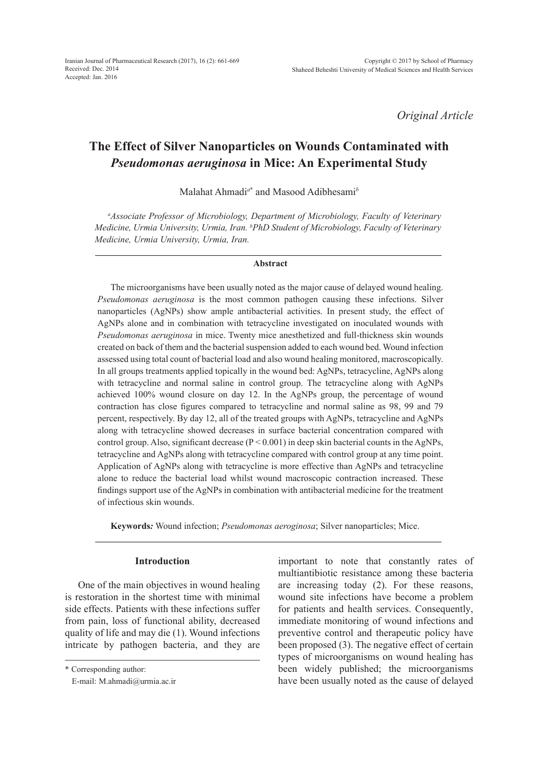*Original Article*

# **The Effect of Silver Nanoparticles on Wounds Contaminated with**  *Pseudomonas aeruginosa* **in Mice: An Experimental Study**

Malahat Ahmadi*<sup>a</sup>*\* and Masood Adibhesami*<sup>b</sup>*

*a Associate Professor of Microbiology, Department of Microbiology, Faculty of Veterinary Medicine, Urmia University, Urmia, Iran. b PhD Student of Microbiology, Faculty of Veterinary Medicine, Urmia University, Urmia, Iran.*

#### **Abstract**

The microorganisms have been usually noted as the major cause of delayed wound healing. *Pseudomonas aeruginosa* is the most common pathogen causing these infections. Silver nanoparticles (AgNPs) show ample antibacterial activities. In present study, the effect of AgNPs alone and in combination with tetracycline investigated on inoculated wounds with *Pseudomonas aeruginosa* in mice. Twenty mice anesthetized and full-thickness skin wounds created on back of them and the bacterial suspension added to each wound bed. Wound infection assessed using total count of bacterial load and also wound healing monitored, macroscopically. In all groups treatments applied topically in the wound bed: AgNPs, tetracycline, AgNPs along with tetracycline and normal saline in control group. The tetracycline along with AgNPs achieved 100% wound closure on day 12. In the AgNPs group, the percentage of wound contraction has close figures compared to tetracycline and normal saline as 98, 99 and 79 percent, respectively. By day 12, all of the treated groups with AgNPs, tetracycline and AgNPs along with tetracycline showed decreases in surface bacterial concentration compared with control group. Also, significant decrease  $(P < 0.001)$  in deep skin bacterial counts in the AgNPs, tetracycline and AgNPs along with tetracycline compared with control group at any time point. Application of AgNPs along with tetracycline is more effective than AgNPs and tetracycline alone to reduce the bacterial load whilst wound macroscopic contraction increased. These findings support use of the AgNPs in combination with antibacterial medicine for the treatment of infectious skin wounds.

**Keywords***:* Wound infection; *Pseudomonas aeroginosa*; Silver nanoparticles; Mice.

# **Introduction**

One of the main objectives in wound healing is restoration in the shortest time with minimal side effects. Patients with these infections suffer from pain, loss of functional ability, decreased quality of life and may die (1). Wound infections intricate by pathogen bacteria, and they are

\* Corresponding author:

important to note that constantly rates of multiantibiotic resistance among these bacteria are increasing today (2). For these reasons, wound site infections have become a problem for patients and health services. Consequently, immediate monitoring of wound infections and preventive control and therapeutic policy have been proposed (3). The negative effect of certain types of microorganisms on wound healing has been widely published; the microorganisms have been usually noted as the cause of delayed

E-mail: M.ahmadi@urmia.ac.ir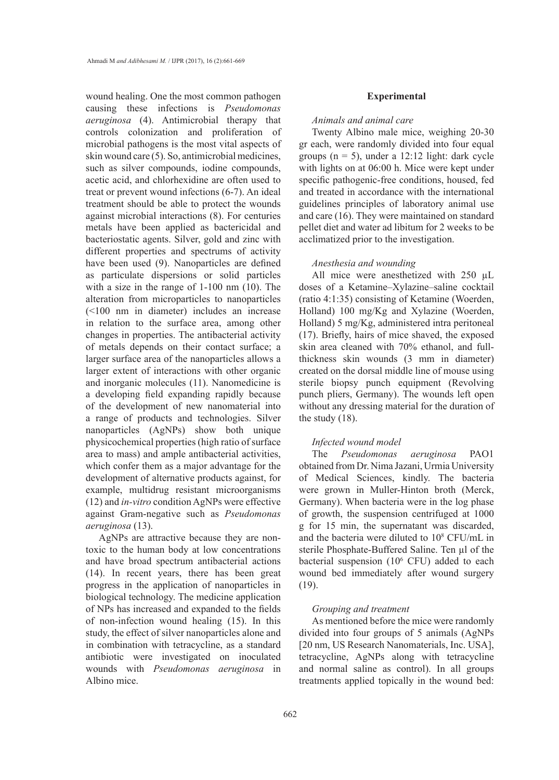wound healing. One the most common pathogen causing these infections is *Pseudomonas aeruginosa* (4). Antimicrobial therapy that controls colonization and proliferation of microbial pathogens is the most vital aspects of skin wound care (5). So, antimicrobial medicines, such as silver compounds, iodine compounds, acetic acid, and chlorhexidine are often used to treat or prevent wound infections (6-7). An ideal treatment should be able to protect the wounds against microbial interactions (8). For centuries metals have been applied as bactericidal and bacteriostatic agents. Silver, gold and zinc with different properties and spectrums of activity have been used (9). Nanoparticles are defined as particulate dispersions or solid particles with a size in the range of 1-100 nm (10). The alteration from microparticles to nanoparticles (<100 nm in diameter) includes an increase in relation to the surface area, among other changes in properties. The antibacterial activity of metals depends on their contact surface; a larger surface area of the nanoparticles allows a larger extent of interactions with other organic and inorganic molecules (11). Nanomedicine is a developing field expanding rapidly because of the development of new nanomaterial into a range of products and technologies. Silver nanoparticles (AgNPs) show both unique physicochemical properties (high ratio of surface area to mass) and ample antibacterial activities, which confer them as a major advantage for the development of alternative products against, for example, multidrug resistant microorganisms (12) and *in-vitro* condition AgNPs were effective against Gram-negative such as *Pseudomonas aeruginosa* (13).

AgNPs are attractive because they are nontoxic to the human body at low concentrations and have broad spectrum antibacterial actions (14). In recent years, there has been great progress in the application of nanoparticles in biological technology. The medicine application of NPs has increased and expanded to the fields of non-infection wound healing (15). In this study, the effect of silver nanoparticles alone and in combination with tetracycline, as a standard antibiotic were investigated on inoculated wounds with *Pseudomonas aeruginosa* in Albino mice.

#### **Experimental**

## *Animals and animal care*

Twenty Albino male mice, weighing 20-30 gr each, were randomly divided into four equal groups  $(n = 5)$ , under a 12:12 light: dark cycle with lights on at 06:00 h. Mice were kept under specific pathogenic-free conditions, housed, fed and treated in accordance with the international guidelines principles of laboratory animal use and care (16). They were maintained on standard pellet diet and water ad libitum for 2 weeks to be acclimatized prior to the investigation.

## *Anesthesia and wounding*

All mice were anesthetized with 250  $\mu$ L doses of a Ketamine–Xylazine–saline cocktail (ratio 4:1:35) consisting of Ketamine (Woerden, Holland) 100 mg/Kg and Xylazine (Woerden, Holland) 5 mg/Kg, administered intra peritoneal (17). Briefly, hairs of mice shaved, the exposed skin area cleaned with 70% ethanol, and fullthickness skin wounds (3 mm in diameter) created on the dorsal middle line of mouse using sterile biopsy punch equipment (Revolving punch pliers, Germany). The wounds left open without any dressing material for the duration of the study (18).

# *Infected wound model*

The *Pseudomonas aeruginosa* PAO1 obtained from Dr. Nima Jazani, Urmia University of Medical Sciences, kindly. The bacteria were grown in Muller-Hinton broth (Merck, Germany). When bacteria were in the log phase of growth, the suspension centrifuged at 1000 g for 15 min, the supernatant was discarded, and the bacteria were diluted to 10<sup>8</sup> CFU/mL in sterile Phosphate-Buffered Saline. Ten µl of the bacterial suspension (10<sup>6</sup> CFU) added to each wound bed immediately after wound surgery (19).

## *Grouping and treatment*

As mentioned before the mice were randomly divided into four groups of 5 animals (AgNPs [20 nm, US Research Nanomaterials, Inc. USA], tetracycline, AgNPs along with tetracycline and normal saline as control). In all groups treatments applied topically in the wound bed: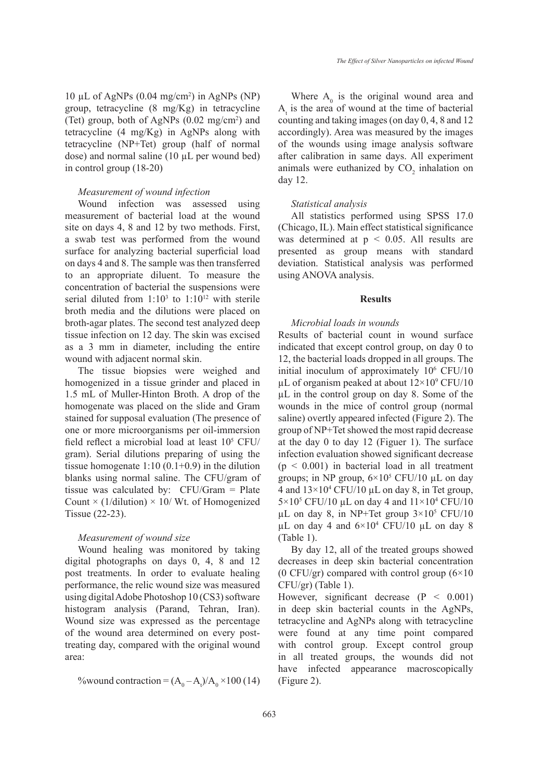10 µL of AgNPs  $(0.04 \text{ mg/cm}^2)$  in AgNPs (NP) group, tetracycline (8 mg/Kg) in tetracycline (Tet) group, both of AgNPs  $(0.02 \text{ mg/cm}^2)$  and tetracycline (4 mg/Kg) in AgNPs along with tetracycline (NP+Tet) group (half of normal dose) and normal saline (10 µL per wound bed) in control group (18-20)

#### *Measurement of wound infection*

Wound infection was assessed using measurement of bacterial load at the wound site on days 4, 8 and 12 by two methods. First, a swab test was performed from the wound surface for analyzing bacterial superficial load on days 4 and 8. The sample was then transferred to an appropriate diluent. To measure the concentration of bacterial the suspensions were serial diluted from  $1:10<sup>3</sup>$  to  $1:10<sup>12</sup>$  with sterile broth media and the dilutions were placed on broth-agar plates. The second test analyzed deep tissue infection on 12 day. The skin was excised as a 3 mm in diameter, including the entire wound with adjacent normal skin.

The tissue biopsies were weighed and homogenized in a tissue grinder and placed in 1.5 mL of Muller-Hinton Broth. A drop of the homogenate was placed on the slide and Gram stained for supposal evaluation (The presence of one or more microorganisms per oil-immersion field reflect a microbial load at least  $10<sup>5</sup>$  CFU/ gram). Serial dilutions preparing of using the tissue homogenate  $1:10(0.1+0.9)$  in the dilution blanks using normal saline. The CFU/gram of tissue was calculated by: CFU/Gram = Plate Count  $\times$  (1/dilution)  $\times$  10/ Wt. of Homogenized Tissue (22-23).

# *Measurement of wound size*

Wound healing was monitored by taking digital photographs on days 0, 4, 8 and 12 post treatments. In order to evaluate healing performance, the relic wound size was measured using digital Adobe Photoshop 10 (CS3) software histogram analysis (Parand, Tehran, Iran). Wound size was expressed as the percentage of the wound area determined on every posttreating day, compared with the original wound area:

%wound contraction =  $(A_0 - A_t)/A_0 \times 100$  (14)

Where  $A_0$  is the original wound area and  $A_t$  is the area of wound at the time of bacterial counting and taking images (on day 0, 4, 8 and 12 accordingly). Area was measured by the images of the wounds using image analysis software after calibration in same days. All experiment animals were euthanized by  $CO<sub>2</sub>$  inhalation on day 12.

#### *Statistical analysis*

All statistics performed using SPSS 17.0 (Chicago, IL). Main effect statistical significance was determined at  $p \le 0.05$ . All results are presented as group means with standard deviation. Statistical analysis was performed using ANOVA analysis.

## **Results**

# *Microbial loads in wounds*

Results of bacterial count in wound surface indicated that except control group, on day 0 to 12, the bacterial loads dropped in all groups. The initial inoculum of approximately 10<sup>6</sup> CFU/10  $\mu$ L of organism peaked at about  $12\times10^9$  CFU/10 µL in the control group on day 8. Some of the wounds in the mice of control group (normal saline) overtly appeared infected (Figure 2). The group of NP+Tet showed the most rapid decrease at the day 0 to day 12 (Figuer 1). The surface infection evaluation showed significant decrease  $(p < 0.001)$  in bacterial load in all treatment groups; in NP group,  $6 \times 10^5$  CFU/10 µL on day 4 and  $13 \times 10^4$  CFU/10 µL on day 8, in Tet group,  $5 \times 10^5$  CFU/10 µL on day 4 and  $11 \times 10^4$  CFU/10  $\mu$ L on day 8, in NP+Tet group  $3 \times 10^5$  CFU/10  $\mu$ L on day 4 and  $6 \times 10^4$  CFU/10  $\mu$ L on day 8 (Table 1).

By day 12, all of the treated groups showed decreases in deep skin bacterial concentration (0 CFU/gr) compared with control group  $(6\times10)$ CFU/gr) (Table 1).

However, significant decrease  $(P < 0.001)$ in deep skin bacterial counts in the AgNPs, tetracycline and AgNPs along with tetracycline were found at any time point compared with control group. Except control group in all treated groups, the wounds did not have infected appearance macroscopically (Figure 2).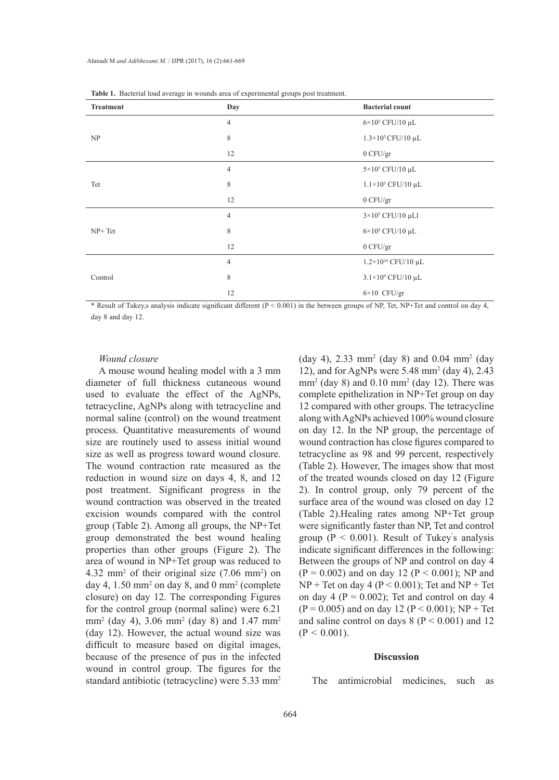| Treatment | $\sim$<br>Day  | <b>Bacterial count</b>       |  |
|-----------|----------------|------------------------------|--|
|           | $\overline{4}$ | $6\times10^5$ CFU/10 µL      |  |
| NP        | $\,$ 8 $\,$    | $1.3\times10^5$ CFU/10 µL    |  |
|           | 12             | $0$ CFU/gr                   |  |
|           | $\overline{4}$ | $5\times10^5$ CFU/10 μL      |  |
| Tet       | 8              | $1.1\times10^5$ CFU/10 µL    |  |
|           | 12             | $0$ CFU/gr                   |  |
|           | $\overline{4}$ | $3\times10^5$ CFU/10 µLl     |  |
| $NP+Tet$  | 8              | $6\times10^4$ CFU/10 µL      |  |
|           | 12             | $0$ CFU/gr                   |  |
|           | $\overline{4}$ | $1.2\times10^{10}$ CFU/10 µL |  |
| Control   | 8              | $3.1\times10^9$ CFU/10 µL    |  |
|           | 12             | $6\times10$ CFU/gr           |  |

**Table 1.** Bacterial load average in wounds area of experimental groups post treatment.

\* Result of Tukey,s analysis indicate significant different (P < 0.001) in the between groups of NP, Tet, NP+Tet and control on day 4, day 8 and day 12.

## *Wound closure*

A mouse wound healing model with a 3 mm diameter of full thickness cutaneous wound used to evaluate the effect of the AgNPs, tetracycline, AgNPs along with tetracycline and normal saline (control) on the wound treatment process. Quantitative measurements of wound size are routinely used to assess initial wound size as well as progress toward wound closure. The wound contraction rate measured as the reduction in wound size on days 4, 8, and 12 post treatment. Significant progress in the wound contraction was observed in the treated excision wounds compared with the control group (Table 2). Among all groups, the NP+Tet group demonstrated the best wound healing properties than other groups (Figure 2). The area of wound in NP+Tet group was reduced to 4.32 mm<sup>2</sup> of their original size  $(7.06 \text{ mm}^2)$  on day 4,  $1.50 \text{ mm}^2$  on day 8, and 0 mm<sup>2</sup> (complete closure) on day 12. The corresponding Figures for the control group (normal saline) were 6.21 mm2 (day 4), 3.06 mm<sup>2</sup> (day 8) and 1.47 mm<sup>2</sup> (day 12). However, the actual wound size was difficult to measure based on digital images, because of the presence of pus in the infected wound in control group. The figures for the standard antibiotic (tetracycline) were 5.33 mm2

 $(\text{day } 4)$ , 2.33 mm<sup>2</sup>  $(\text{day } 8)$  and 0.04 mm<sup>2</sup>  $(\text{day } 4)$ 12), and for AgNPs were 5.48 mm<sup>2</sup> (day 4), 2.43  $mm<sup>2</sup>$  (day 8) and 0.10 mm<sup>2</sup> (day 12). There was complete epithelization in NP+Tet group on day 12 compared with other groups. The tetracycline along with AgNPs achieved 100% wound closure on day 12. In the NP group, the percentage of wound contraction has close figures compared to tetracycline as 98 and 99 percent, respectively (Table 2). However, The images show that most of the treated wounds closed on day 12 (Figure 2). In control group, only 79 percent of the surface area of the wound was closed on day 12 (Table 2).Healing rates among NP+Tet group were significantly faster than NP, Tet and control group ( $P < 0.001$ ). Result of Tukey's analysis indicate significant differences in the following: Between the groups of NP and control on day 4  $(P = 0.002)$  and on day 12  $(P < 0.001)$ ; NP and  $NP + Tet$  on day 4 ( $P < 0.001$ ); Tet and  $NP + Tet$ on day 4 ( $P = 0.002$ ); Tet and control on day 4  $(P = 0.005)$  and on day 12  $(P < 0.001)$ ; NP + Tet and saline control on days  $8 (P < 0.001)$  and 12  $(P < 0.001)$ .

## **Discussion**

The antimicrobial medicines, such as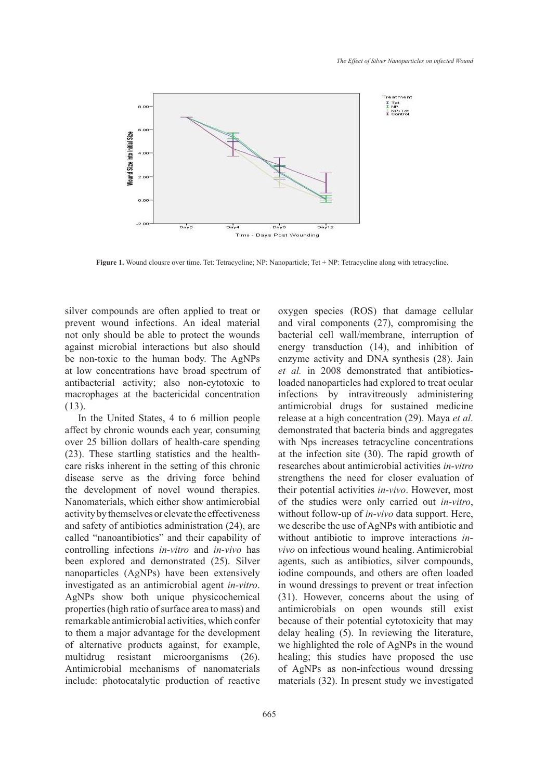

**Figure 1.** Wound clousre over time. Tet: Tetracycline; NP: Nanoparticle; Tet + NP: Tetracycline along with tetracycline.

silver compounds are often applied to treat or prevent wound infections. An ideal material not only should be able to protect the wounds against microbial interactions but also should be non-toxic to the human body. The AgNPs at low concentrations have broad spectrum of antibacterial activity; also non-cytotoxic to macrophages at the bactericidal concentration (13).

In the United States, 4 to 6 million people affect by chronic wounds each year, consuming over 25 billion dollars of health-care spending (23). These startling statistics and the healthcare risks inherent in the setting of this chronic disease serve as the driving force behind the development of novel wound therapies. Nanomaterials, which either show antimicrobial activity by themselves or elevate the effectiveness and safety of antibiotics administration (24), are called "nanoantibiotics" and their capability of controlling infections *in-vitro* and *in-vivo* has been explored and demonstrated (25). Silver nanoparticles (AgNPs) have been extensively investigated as an antimicrobial agent *in-vitro*. AgNPs show both unique physicochemical properties (high ratio of surface area to mass) and remarkable antimicrobial activities, which confer to them a major advantage for the development of alternative products against, for example, multidrug resistant microorganisms (26). Antimicrobial mechanisms of nanomaterials include: photocatalytic production of reactive and viral components (27), compromising the bacterial cell wall/membrane, interruption of energy transduction (14), and inhibition of enzyme activity and DNA synthesis (28). Jain *et al.* in 2008 demonstrated that antibioticsloaded nanoparticles had explored to treat ocular infections by intravitreously administering antimicrobial drugs for sustained medicine release at a high concentration (29). Maya *et al*. demonstrated that bacteria binds and aggregates with Nps increases tetracycline concentrations at the infection site (30). The rapid growth of researches about antimicrobial activities *in-vitro* strengthens the need for closer evaluation of their potential activities *in-vivo*. However, most of the studies were only carried out *in-vitro*, without follow-up of *in-vivo* data support. Here, we describe the use of AgNPs with antibiotic and without antibiotic to improve interactions *invivo* on infectious wound healing. Antimicrobial agents, such as antibiotics, silver compounds, iodine compounds, and others are often loaded in wound dressings to prevent or treat infection (31). However, concerns about the using of antimicrobials on open wounds still exist because of their potential cytotoxicity that may delay healing (5). In reviewing the literature, we highlighted the role of AgNPs in the wound healing; this studies have proposed the use of AgNPs as non-infectious wound dressing materials (32). In present study we investigated

oxygen species (ROS) that damage cellular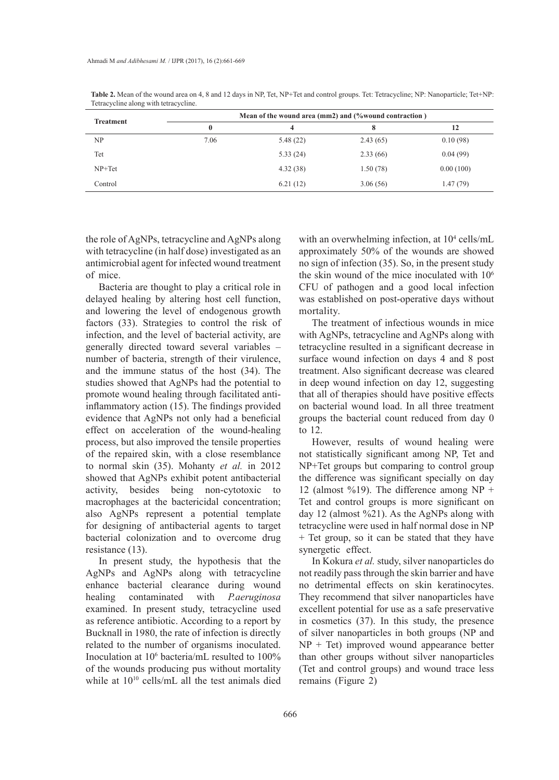| <b>Treatment</b> | Mean of the wound area (mm2) and (%wound contraction) |          |          |           |
|------------------|-------------------------------------------------------|----------|----------|-----------|
|                  | 0                                                     | 4        | 8        | 12        |
| NP               | 7.06                                                  | 5.48(22) | 2.43(65) | 0.10(98)  |
| Tet              |                                                       | 5.33(24) | 2.33(66) | 0.04(99)  |
| $NP+Tet$         |                                                       | 4.32(38) | 1.50(78) | 0.00(100) |
| Control          |                                                       | 6.21(12) | 3.06(56) | 1.47(79)  |

**Table 2.** Mean of the wound area on 4, 8 and 12 days in NP, Tet, NP+Tet and control groups. Tet: Tetracycline; NP: Nanoparticle; Tet+NP: Tetracycline along with tetracycline.

the role of AgNPs, tetracycline and AgNPs along with tetracycline (in half dose) investigated as an antimicrobial agent for infected wound treatment of mice.

Bacteria are thought to play a critical role in delayed healing by altering host cell function, and lowering the level of endogenous growth factors (33). Strategies to control the risk of infection, and the level of bacterial activity, are generally directed toward several variables – number of bacteria, strength of their virulence, and the immune status of the host (34). The studies showed that AgNPs had the potential to promote wound healing through facilitated antiinflammatory action (15). The findings provided evidence that AgNPs not only had a beneficial effect on acceleration of the wound-healing process, but also improved the tensile properties of the repaired skin, with a close resemblance to normal skin (35). Mohanty *et al.* in 2012 showed that AgNPs exhibit potent antibacterial activity, besides being non-cytotoxic to macrophages at the bactericidal concentration; also AgNPs represent a potential template for designing of antibacterial agents to target bacterial colonization and to overcome drug resistance (13).

In present study, the hypothesis that the AgNPs and AgNPs along with tetracycline enhance bacterial clearance during wound healing contaminated with *P.aeruginosa* examined. In present study, tetracycline used as reference antibiotic. According to a report by Bucknall in 1980, the rate of infection is directly related to the number of organisms inoculated. Inoculation at 10<sup>6</sup> bacteria/mL resulted to 100% of the wounds producing pus without mortality while at  $10^{10}$  cells/mL all the test animals died

with an overwhelming infection, at  $10^4$  cells/mL approximately 50% of the wounds are showed no sign of infection (35). So, in the present study the skin wound of the mice inoculated with  $10<sup>6</sup>$ CFU of pathogen and a good local infection was established on post-operative days without mortality.

The treatment of infectious wounds in mice with AgNPs, tetracycline and AgNPs along with tetracycline resulted in a significant decrease in surface wound infection on days 4 and 8 post treatment. Also significant decrease was cleared in deep wound infection on day 12, suggesting that all of therapies should have positive effects on bacterial wound load. In all three treatment groups the bacterial count reduced from day 0 to 12.

However, results of wound healing were not statistically significant among NP, Tet and NP+Tet groups but comparing to control group the difference was significant specially on day 12 (almost %19). The difference among  $NP +$ Tet and control groups is more significant on day 12 (almost %21). As the AgNPs along with tetracycline were used in half normal dose in NP + Tet group, so it can be stated that they have synergetic effect.

In Kokura *et al.* study, silver nanoparticles do not readily pass through the skin barrier and have no detrimental effects on skin keratinocytes. They recommend that silver nanoparticles have excellent potential for use as a safe preservative in cosmetics (37). In this study, the presence of silver nanoparticles in both groups (NP and  $NP + Tet$ ) improved wound appearance better than other groups without silver nanoparticles (Tet and control groups) and wound trace less remains (Figure 2)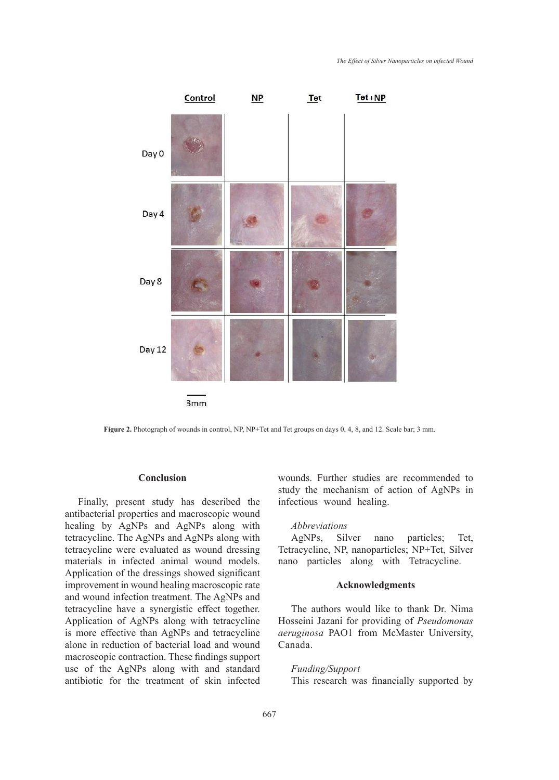

Figure 2. Photograph of wounds in control, NP, NP+Tet and Tet groups on days 0, 4, 8, and 12. Scale bar; 3 mm. let g

# **Conclusion**

Finally, present study has described the antibacterial properties and macroscopic wound healing by AgNPs and AgNPs along with tetracycline. The AgNPs and AgNPs along with tetracycline were evaluated as wound dressing materials in infected animal wound models. Application of the dressings showed significant improvement in wound healing macroscopic rate and wound infection treatment. The AgNPs and tetracycline have a synergistic effect together. Application of AgNPs along with tetracycline is more effective than AgNPs and tetracycline alone in reduction of bacterial load and wound macroscopic contraction. These findings support use of the AgNPs along with and standard antibiotic for the treatment of skin infected

wounds. Further studies are recommended to study the mechanism of action of AgNPs in infectious wound healing.

## *Abbreviations*

AgNPs, Silver nano particles; Tet, Tetracycline, NP, nanoparticles; NP+Tet, Silver nano particles along with Tetracycline.

# **Acknowledgments**

The authors would like to thank Dr. Nima Hosseini Jazani for providing of *Pseudomonas aeruginosa* PAO1 from McMaster University, Canada.

# *Funding/Support*

This research was financially supported by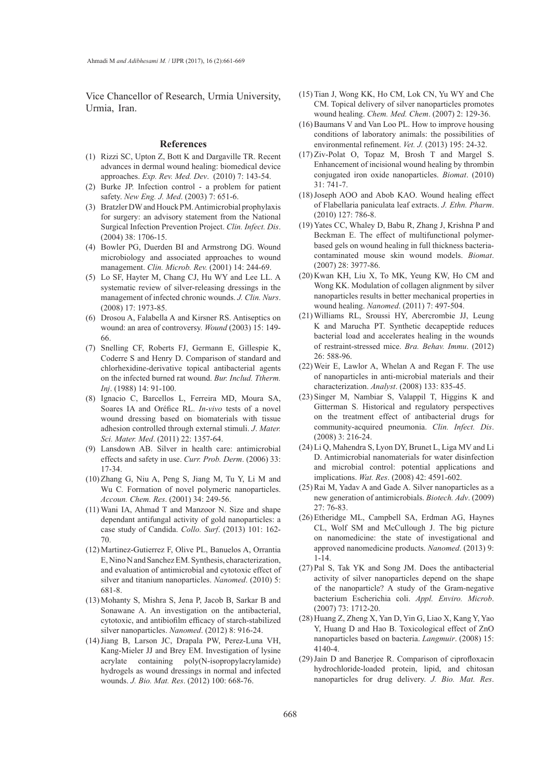Vice Chancellor of Research, Urmia University, Urmia, Iran.

#### **References**

- $(1)$  Rizzi SC, Upton Z, Bott K and Dargaville TR. Recent advances in dermal wound healing: biomedical device approaches. *Exp. Rev. Med. Dev*. (2010) 7: 143-54.
- (2) Burke JP. Infection control a problem for patient safety. *New Eng. J. Med*. (2003) 7: 651-6.
- Bratzler DW and Houck PM. Antimicrobial prophylaxis (3) for surgery: an advisory statement from the National Surgical Infection Prevention Project. *Clin. Infect. Dis*. (2004) 38: 1706-15.
- (4) Bowler PG, Duerden BI and Armstrong DG. Wound microbiology and associated approaches to wound management. *Clin. Microb. Rev.* (2001) 14: 244-69.
- Lo SF, Hayter M, Chang CJ, Hu WY and Lee LL. A (5) systematic review of silver-releasing dressings in the management of infected chronic wounds. *J. Clin. Nurs*. (2008) 17: 1973-85.
- Drosou A, Falabella A and Kirsner RS. Antiseptics on (6) wound: an area of controversy. *Wound* (2003) 15: 149- 66.
- (7) Snelling CF, Roberts FJ, Germann E, Gillespie K, Coderre S and Henry D. Comparison of standard and chlorhexidine-derivative topical antibacterial agents on the infected burned rat wound. *Bur. Includ. Ttherm. Inj*. (1988) 14: 91-100.
- Ignacio C, Barcellos L, Ferreira MD, Moura SA, (8) Soares IA and Oréfice RL. *In-vivo* tests of a novel wound dressing based on biomaterials with tissue adhesion controlled through external stimuli. *J*. *Mater. Sci. Mater. Med*. (2011) 22: 1357-64.
- Lansdown AB. Silver in health care: antimicrobial (9) effects and safety in use. *Curr. Prob. Derm*. (2006) 33: 17-34.
- $(10)$  Zhang G, Niu A, Peng S, Jiang M, Tu Y, Li M and Wu C*.* Formation of novel polymeric nanoparticles. *Accoun. Chem. Res*. (2001) 34: 249-56.
- Wani IA, Ahmad T and Manzoor N. Size and shape (11) dependant antifungal activity of gold nanoparticles: a case study of Candida. *Collo. Surf*. (2013) 101: 162- 70.
- (12) Martinez-Gutierrez F, Olive PL, Banuelos A, Orrantia E, Nino N and Sanchez EM. Synthesis, characterization, and evaluation of antimicrobial and cytotoxic effect of silver and titanium nanoparticles. *Nanomed*. (2010) 5: 681-8.
- (13) Mohanty S, Mishra S, Jena P, Jacob B, Sarkar B and Sonawane A. An investigation on the antibacterial, cytotoxic, and antibiofilm efficacy of starch-stabilized silver nanoparticles. *Nanomed*. (2012) 8: 916-24.
- (14) Jiang B, Larson JC, Drapala PW, Perez-Luna VH, Kang-Mieler JJ and Brey EM. Investigation of lysine acrylate containing poly(N-isopropylacrylamide) hydrogels as wound dressings in normal and infected wounds. *J. Bio. Mat. Res*. (2012) 100: 668-76.
- $(15)$  Tian J, Wong KK, Ho CM, Lok CN, Yu WY and Che CM. Topical delivery of silver nanoparticles promotes wound healing. *Chem. Med. Chem*. (2007) 2: 129-36.
- $(16)$  Baumans V and Van Loo PL. How to improve housing conditions of laboratory animals: the possibilities of environmental refinement. *Vet. J.* (2013) 195: 24-32.
- $(17)$  Ziv-Polat O, Topaz M, Brosh T and Margel S. Enhancement of incisional wound healing by thrombin conjugated iron oxide nanoparticles. *Biomat*. (2010) 31: 741-7.
- (18) Joseph AOO and Abob KAO. Wound healing effect of Flabellaria paniculata leaf extracts. *J. Ethn. Pharm*. (2010) 127: 786-8.
- (19) Yates CC, Whaley D, Babu R, Zhang J, Krishna P and Beckman E. The effect of multifunctional polymerbased gels on wound healing in full thickness bacteriacontaminated mouse skin wound models. *Biomat*. (2007) 28: 3977-86.
- $(20)$  Kwan KH, Liu X, To MK, Yeung KW, Ho CM and Wong KK. Modulation of collagen alignment by silver nanoparticles results in better mechanical properties in wound healing. *Nanomed*. (2011) 7: 497-504.
- Williams RL, Sroussi HY, Abercrombie JJ, Leung (21) K and Marucha PT. Synthetic decapeptide reduces bacterial load and accelerates healing in the wounds of restraint-stressed mice. *Bra. Behav. Immu*. (2012) 26: 588-96.
- Weir E, Lawlor A, Whelan A and Regan F. The use (22) of nanoparticles in anti-microbial materials and their characterization. *Analyst*. (2008) 133: 835-45.
- $(23)$  Singer M, Nambiar S, Valappil T, Higgins K and Gitterman S. Historical and regulatory perspectives on the treatment effect of antibacterial drugs for community-acquired pneumonia. *Clin. Infect. Dis*. (2008) 3: 216-24.
- Li Q, Mahendra S, Lyon DY, Brunet L, Liga MV and Li (24) D. Antimicrobial nanomaterials for water disinfection and microbial control: potential applications and implications. *Wat. Res*. (2008) 42: 4591-602.
- $(25)$  Rai M, Yadav A and Gade A. Silver nanoparticles as a new generation of antimicrobials. *Biotech. Adv*. (2009) 27: 76-83.
- (26) Etheridge ML, Campbell SA, Erdman AG, Haynes CL, Wolf SM and McCullough J. The big picture on nanomedicine: the state of investigational and approved nanomedicine products. *Nanomed*. (2013) 9: 1-14.
- $(27)$  Pal S, Tak YK and Song JM. Does the antibacterial activity of silver nanoparticles depend on the shape of the nanoparticle? A study of the Gram-negative bacterium Escherichia coli. *Appl. Enviro. Microb*. (2007) 73: 1712-20.
- (28) Huang Z, Zheng X, Yan D, Yin G, Liao X, Kang Y, Yao Y, Huang D and Hao B. Toxicological effect of ZnO nanoparticles based on bacteria. *Langmuir*. (2008) 15: 4140-4.
- (29) Jain D and Banerjee R. Comparison of ciprofloxacin hydrochloride-loaded protein, lipid, and chitosan nanoparticles for drug delivery. *J. Bio. Mat. Res*.